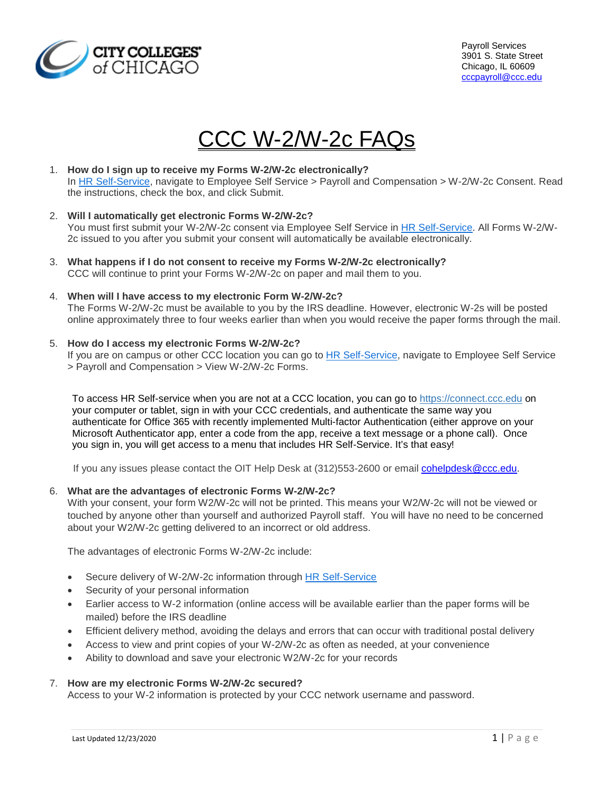

# CCC W-2/W-2c FAQs

#### 1. **How do I sign up to receive my Forms W-2/W-2c electronically?** In [HR Self-Service,](http://www.ccc.edu/menu/Pages/HR-Self-Service.aspx) navigate to Employee Self Service > Payroll and Compensation > W-2/W-2c Consent. Read the instructions, check the box, and click Submit.

- 2. **Will I automatically get electronic Forms W-2/W-2c?** You must first submit your W-2/W-2c consent via Employee Self Service in [HR Self-Service.](http://www.ccc.edu/menu/Pages/HR-Self-Service.aspx) All Forms W-2/W-2c issued to you after you submit your consent will automatically be available electronically.
- 3. **What happens if I do not consent to receive my Forms W-2/W-2c electronically?** CCC will continue to print your Forms W-2/W-2c on paper and mail them to you.

#### 4. **When will I have access to my electronic Form W-2/W-2c?** The Forms W-2/W-2c must be available to you by the IRS deadline. However, electronic W-2s will be posted online approximately three to four weeks earlier than when you would receive the paper forms through the mail.

## 5. **How do I access my electronic Forms W-2/W-2c?**

If you are on campus or other CCC location you can go to [HR Self-Service,](http://www.ccc.edu/menu/Pages/HR-Self-Service.aspx) navigate to Employee Self Service > Payroll and Compensation > View W-2/W-2c Forms.

To access HR Self-service when you are not at a CCC location, you can go to [https://connect.ccc.edu](https://connect.ccc.edu/) on your computer or tablet, sign in with your CCC credentials, and authenticate the same way you authenticate for Office 365 with recently implemented Multi-factor Authentication (either approve on your Microsoft Authenticator app, enter a code from the app, receive a text message or a phone call). Once you sign in, you will get access to a menu that includes HR Self-Service. It's that easy!

If you any issues please contact the OIT Help Desk at (312)553-2600 or email [cohelpdesk@ccc.edu.](mailto:cohelpdesk@ccc.edu)

#### 6. **What are the advantages of electronic Forms W-2/W-2c?**

With your consent, your form W2/W-2c will not be printed. This means your W2/W-2c will not be viewed or touched by anyone other than yourself and authorized Payroll staff. You will have no need to be concerned about your W2/W-2c getting delivered to an incorrect or old address.

The advantages of electronic Forms W-2/W-2c include:

- Secure delivery of W-2/W-2c information through [HR Self-Service](http://www.ccc.edu/menu/Pages/HR-Self-Service.aspx)
- Security of your personal information
- Earlier access to W-2 information (online access will be available earlier than the paper forms will be mailed) before the IRS deadline
- Efficient delivery method, avoiding the delays and errors that can occur with traditional postal delivery
- Access to view and print copies of your W-2/W-2c as often as needed, at your convenience
- Ability to download and save your electronic W2/W-2c for your records

#### 7. **How are my electronic Forms W-2/W-2c secured?**

Access to your W-2 information is protected by your CCC network username and password.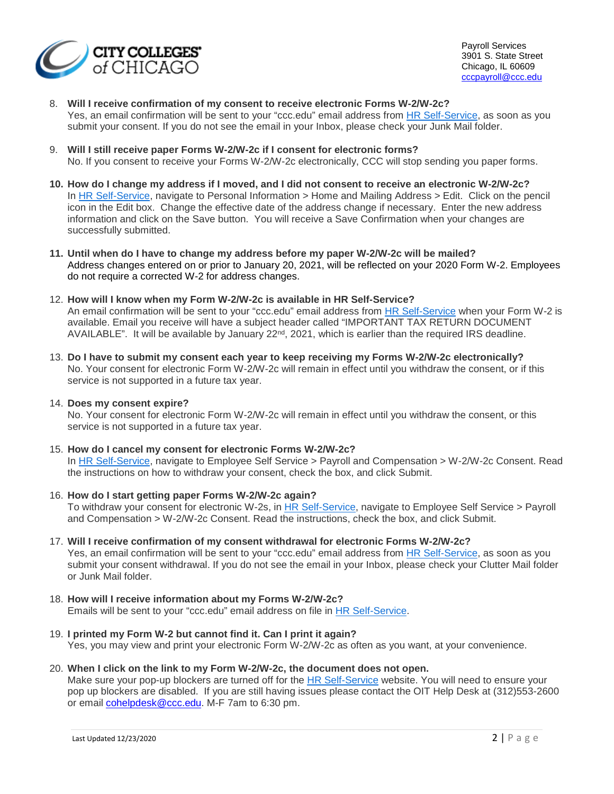

Payroll Services 3901 S. State Street Chicago, IL 60609 [cccpayroll@ccc.edu](file://dofs/DODATASHARE/DOFSDATA/OHR/HRIS/HRIS%20Systems%20Admin/Projects/Year%20End%20Processing/W2%202019/Communications/W2%20FAQs/cccpayroll@ccc.edu)

### 8. **Will I receive confirmation of my consent to receive electronic Forms W-2/W-2c?**

Yes, an email confirmation will be sent to your "ccc.edu" email address from [HR Self-Service,](http://www.ccc.edu/menu/Pages/HR-Self-Service.aspx) as soon as you submit your consent. If you do not see the email in your Inbox, please check your Junk Mail folder.

- 9. **Will I still receive paper Forms W-2/W-2c if I consent for electronic forms?** No. If you consent to receive your Forms W-2/W-2c electronically, CCC will stop sending you paper forms.
- **10. How do I change my address if I moved, and I did not consent to receive an electronic W-2/W-2c?** In [HR Self-Service,](https://my.smu.edu/) navigate to Personal Information > Home and Mailing Address > Edit. Click on the pencil icon in the Edit box. Change the effective date of the address change if necessary. Enter the new address information and click on the Save button. You will receive a Save Confirmation when your changes are successfully submitted.
- **11. Until when do I have to change my address before my paper W-2/W-2c will be mailed?** Address changes entered on or prior to January 20, 2021, will be reflected on your 2020 Form W-2. Employees do not require a corrected W-2 for address changes.
- 12. **How will I know when my Form W-2/W-2c is available in HR Self-Service?** An email confirmation will be sent to your "ccc.edu" email address from [HR Self-Service](http://www.ccc.edu/menu/Pages/HR-Self-Service.aspx) when your Form W-2 is available. Email you receive will have a subject header called "IMPORTANT TAX RETURN DOCUMENT AVAILABLE". It will be available by January 22<sup>nd</sup>, 2021, which is earlier than the required IRS deadline.
- 13. **Do I have to submit my consent each year to keep receiving my Forms W-2/W-2c electronically?** No. Your consent for electronic Form W-2/W-2c will remain in effect until you withdraw the consent, or if this service is not supported in a future tax year.

#### 14. **Does my consent expire?**

No. Your consent for electronic Form W-2/W-2c will remain in effect until you withdraw the consent, or this service is not supported in a future tax year.

## 15. **How do I cancel my consent for electronic Forms W-2/W-2c?**

In [HR Self-Service,](https://my.smu.edu/) navigate to Employee Self Service > Payroll and Compensation > W-2/W-2c Consent. Read the instructions on how to withdraw your consent, check the box, and click Submit.

- 16. **How do I start getting paper Forms W-2/W-2c again?** To withdraw your consent for electronic W-2s, in [HR Self-Service,](http://www.ccc.edu/menu/Pages/HR-Self-Service.aspx) navigate to Employee Self Service > Payroll and Compensation > W-2/W-2c Consent. Read the instructions, check the box, and click Submit.
- 17. **Will I receive confirmation of my consent withdrawal for electronic Forms W-2/W-2c?** Yes, an email confirmation will be sent to your "ccc.edu" email address from [HR Self-Service,](http://www.ccc.edu/menu/Pages/HR-Self-Service.aspx) as soon as you submit your consent withdrawal. If you do not see the email in your Inbox, please check your Clutter Mail folder or Junk Mail folder.
- 18. **How will I receive information about my Forms W-2/W-2c?** Emails will be sent to your "ccc.edu" email address on file in [HR Self-Service.](http://www.ccc.edu/menu/Pages/HR-Self-Service.aspx)
- 19. **I printed my Form W-2 but cannot find it. Can I print it again?** Yes, you may view and print your electronic Form W-2/W-2c as often as you want, at your convenience.

#### 20. **When I click on the link to my Form W-2/W-2c, the document does not open.**

Make sure your pop-up blockers are turned off for the [HR Self-Service](http://www.ccc.edu/menu/Pages/HR-Self-Service.aspx) website. You will need to ensure your pop up blockers are disabled. If you are still having issues please contact the OIT Help Desk at (312)553-2600 or email [cohelpdesk@ccc.edu.](mailto:cohelpdesk@ccc.edu) M-F 7am to 6:30 pm.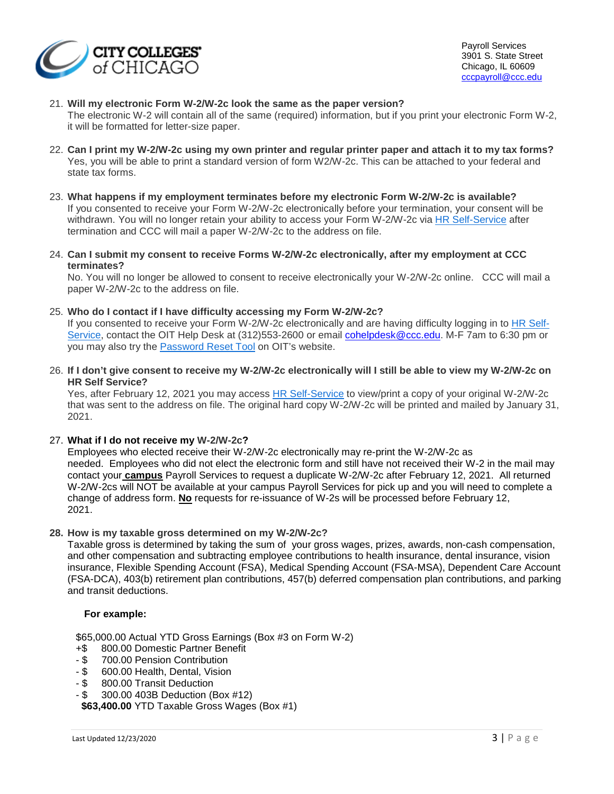

Payroll Services 3901 S. State Street Chicago, IL 60609 [cccpayroll@ccc.edu](file://dofs/DODATASHARE/DOFSDATA/OHR/HRIS/HRIS%20Systems%20Admin/Projects/Year%20End%20Processing/W2%202019/Communications/W2%20FAQs/cccpayroll@ccc.edu)

#### 21. **Will my electronic Form W-2/W-2c look the same as the paper version?**

The electronic W-2 will contain all of the same (required) information, but if you print your electronic Form W-2, it will be formatted for letter-size paper.

- 22. **Can I print my W-2/W-2c using my own printer and regular printer paper and attach it to my tax forms?**  Yes, you will be able to print a standard version of form W2/W-2c. This can be attached to your federal and state tax forms.
- 23. **What happens if my employment terminates before my electronic Form W-2/W-2c is available?** If you consented to receive your Form W-2/W-2c electronically before your termination, your consent will be withdrawn. You will no longer retain your ability to access your Form W-2/W-2c via [HR Self-Service](http://www.ccc.edu/menu/Pages/HR-Self-Service.aspx) after termination and CCC will mail a paper W-2/W-2c to the address on file.
- 24. **Can I submit my consent to receive Forms W-2/W-2c electronically, after my employment at CCC terminates?**

No. You will no longer be allowed to consent to receive electronically your W-2/W-2c online. CCC will mail a paper W-2/W-2c to the address on file.

25. **Who do I contact if I have difficulty accessing my Form W-2/W-2c?**

If you consented to receive your Form W-2/W-2c electronically and are having difficulty logging in to [HR Self-](http://www.ccc.edu/menu/Pages/HR-Self-Service.aspx)[Service,](http://www.ccc.edu/menu/Pages/HR-Self-Service.aspx) contact the OIT Help Desk at (312)553-2600 or email [cohelpdesk@ccc.edu.](mailto:cohelpdesk@ccc.edu) M-F 7am to 6:30 pm or you may also try the [Password Reset Tool](https://passwordreset.ccc.edu/) on OIT's website.

26. **If I don't give consent to receive my W-2/W-2c electronically will I still be able to view my W-2/W-2c on HR Self Service?** 

Yes, after February 12, 2021 you may access [HR Self-Service](http://www.ccc.edu/menu/Pages/HR-Self-Service.aspx) to view/print a copy of your original W-2/W-2c that was sent to the address on file. The original hard copy W-2/W-2c will be printed and mailed by January 31, 2021.

#### 27. **What if I do not receive my W-2/W-2c?**

Employees who elected receive their W-2/W-2c electronically may re-print the W-2/W-2c as needed. Employees who did not elect the electronic form and still have not received their W-2 in the mail may contact your **campus** Payroll Services to request a duplicate W-2/W-2c after February 12, 2021. All returned W-2/W-2cs will NOT be available at your campus Payroll Services for pick up and you will need to complete a change of address form. **No** requests for re-issuance of W-2s will be processed before February 12, 2021.

**28. How is my taxable gross determined on my W-2/W-2c?**

Taxable gross is determined by taking the sum of your gross wages, prizes, awards, non-cash compensation, and other compensation and subtracting employee contributions to health insurance, dental insurance, vision insurance, Flexible Spending Account (FSA), Medical Spending Account (FSA-MSA), Dependent Care Account (FSA-DCA), 403(b) retirement plan contributions, 457(b) deferred compensation plan contributions, and parking and transit deductions.

#### **For example:**

\$65,000.00 Actual YTD Gross Earnings (Box #3 on Form W-2)

- +\$ 800.00 Domestic Partner Benefit
- \$ 700.00 Pension Contribution<br>- \$ 600.00 Health, Dental, Vision
- \$ 600.00 Health, Dental, Vision<br>- \$ 800.00 Transit Deduction
- 800.00 Transit Deduction
- \$ 300.00 403B Deduction (Box #12)

 **\$63,400.00** YTD Taxable Gross Wages (Box #1)